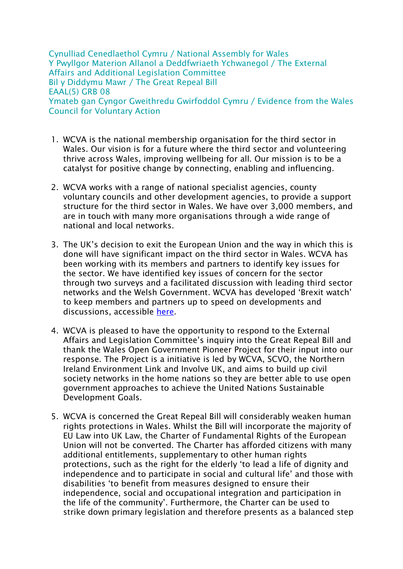Cynulliad Cenedlaethol Cymru / National Assembly for Wales Y Pwyllgor Materion Allanol a Deddfwriaeth Ychwanegol / The External Affairs and Additional Legislation Committee Bil y Diddymu Mawr / The Great Repeal Bill EAAL(5) GRB 08 Ymateb gan Cyngor Gweithredu Gwirfoddol Cymru / Evidence from the Wales Council for Voluntary Action

- 1. WCVA is the national membership organisation for the third sector in Wales. Our vision is for a future where the third sector and volunteering thrive across Wales, improving wellbeing for all. Our mission is to be a catalyst for positive change by connecting, enabling and influencing.
- 2. WCVA works with a range of national specialist agencies, county voluntary councils and other development agencies, to provide a support structure for the third sector in Wales. We have over 3,000 members, and are in touch with many more organisations through a wide range of national and local networks.
- 3. The UK's decision to exit the European Union and the way in which this is done will have significant impact on the third sector in Wales. WCVA has been working with its members and partners to identify key issues for the sector. We have identified key issues of concern for the sector through two surveys and a facilitated discussion with leading third sector networks and the Welsh Government. WCVA has developed 'Brexit watch' to keep members and partners up to speed on developments and discussions, accessible [here.](http://www.wcva.org.uk/what-we-do/the-eu-referendum-in-wales)
- 4. WCVA is pleased to have the opportunity to respond to the External Affairs and Legislation Committee's inquiry into the Great Repeal Bill and thank the Wales Open Government Pioneer Project for their input into our response. The Project is a initiative is led by WCVA, SCVO, the Northern Ireland Environment Link and Involve UK, and aims to build up civil society networks in the home nations so they are better able to use open government approaches to achieve the United Nations Sustainable Development Goals.
- 5. WCVA is concerned the Great Repeal Bill will considerably weaken human rights protections in Wales. Whilst the Bill will incorporate the majority of EU Law into UK Law, the Charter of Fundamental Rights of the European Union will not be converted. The Charter has afforded citizens with many additional entitlements, supplementary to other human rights protections, such as the right for the elderly 'to lead a life of dignity and independence and to participate in social and cultural life' and those with disabilities 'to benefit from measures designed to ensure their independence, social and occupational integration and participation in the life of the community'. Furthermore, the Charter can be used to strike down primary legislation and therefore presents as a balanced step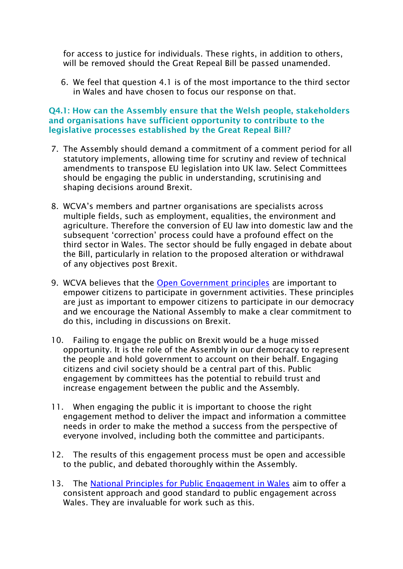for access to justice for individuals. These rights, in addition to others, will be removed should the Great Repeal Bill be passed unamended.

6. We feel that question 4.1 is of the most importance to the third sector in Wales and have chosen to focus our response on that.

## **Q4.1: How can the Assembly ensure that the Welsh people, stakeholders and organisations have sufficient opportunity to contribute to the legislative processes established by the Great Repeal Bill?**

- 7. The Assembly should demand a commitment of a comment period for all statutory implements, allowing time for scrutiny and review of technical amendments to transpose EU legislation into UK law. Select Committees should be engaging the public in understanding, scrutinising and shaping decisions around Brexit.
- 8. WCVA's members and partner organisations are specialists across multiple fields, such as employment, equalities, the environment and agriculture. Therefore the conversion of EU law into domestic law and the subsequent 'correction' process could have a profound effect on the third sector in Wales. The sector should be fully engaged in debate about the Bill, particularly in relation to the proposed alteration or withdrawal of any objectives post Brexit.
- 9. WCVA believes that the [Open Government principles](https://www.opengovpartnership.org/about/open-government-declaration) are important to empower citizens to participate in government activities. These principles are just as important to empower citizens to participate in our democracy and we encourage the National Assembly to make a clear commitment to do this, including in discussions on Brexit.
- 10. Failing to engage the public on Brexit would be a huge missed opportunity. It is the role of the Assembly in our democracy to represent the people and hold government to account on their behalf. Engaging citizens and civil society should be a central part of this. Public engagement by committees has the potential to rebuild trust and increase engagement between the public and the Assembly.
- 11. When engaging the public it is important to choose the right engagement method to deliver the impact and information a committee needs in order to make the method a success from the perspective of everyone involved, including both the committee and participants.
- 12. The results of this engagement process must be open and accessible to the public, and debated thoroughly within the Assembly.
- 13. The [National Principles for Public Engagement in Wales](http://participation.cymru/en/principles/) aim to offer a consistent approach and good standard to public engagement across Wales. They are invaluable for work such as this.